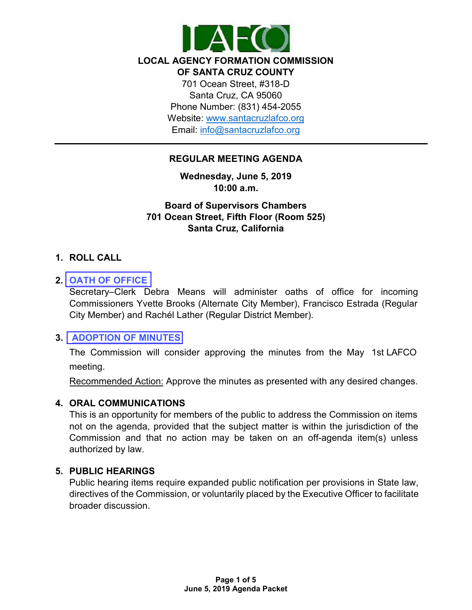

#### **LOCAL AGENCY FORMATION COMMISSION OF SANTA CRUZ COUNTY**

701 Ocean Street, #318-D Santa Cruz, CA 95060 Phone Number: (831) 454-2055 Website: [www.santacruzlafco.org](http://www.santacruzlafco.org/) Email: [info@santacruzlafco.org](mailto:info@santacruzlafco.org)

# **REGULAR MEETING AGENDA**

**Wednesday, June 5, 2019 10:00 a.m.**

**Board of Supervisors Chambers 701 Ocean Street, Fifth Floor (Room 525) Santa Cruz, California**

# **1. ROLL CALL**

# **2. OATH [OF OFFICE](https://www.santacruzlafco.org/wp-content/uploads/2019/05/2.0-Oath-of-Office-Staff-Report-WEB.pdf)**

Secretary–Clerk Debra Means will administer oaths of office for incoming Commissioners Yvette Brooks (Alternate City Member), Francisco Estrada (Regular City Member) and Rachél Lather (Regular District Member).

## **3. [ADOPTION](https://www.santacruzlafco.org/wp-content/uploads/2019/05/3.0-May-2019-Meeting-Minutes-FINAL.pdf) OF MINUTES**

The Commission will consider approving the minutes from the May 1st LAFCO meeting.

Recommended Action: Approve the minutes as presented with any desired changes.

## **4. ORAL COMMUNICATIONS**

This is an opportunity for members of the public to address the Commission on items not on the agenda, provided that the subject matter is within the jurisdiction of the Commission and that no action may be taken on an off-agenda item(s) unless authorized by law.

## **5. PUBLIC HEARINGS**

Public hearing items require expanded public notification per provisions in State law, directives of the Commission, or voluntarily placed by the Executive Officer to facilitate broader discussion.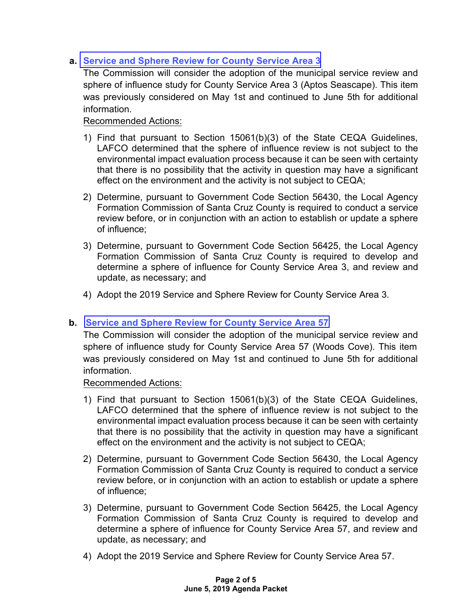# **a. Service and [Sphere Review](https://www.santacruzlafco.org/wp-content/uploads/2019/05/5a.0-CSA-3-Staff-Report-WEB-1.pdf) for County Service Area 3**

The Commission will consider the adoption of the municipal service review and sphere of influence study for County Service Area 3 (Aptos Seascape). This item was previously considered on May 1st and continued to June 5th for additional information.

# Recommended Actions:

- 1) Find that pursuant to Section 15061(b)(3) of the State CEQA Guidelines, LAFCO determined that the sphere of influence review is not subject to the environmental impact evaluation process because it can be seen with certainty that there is no possibility that the activity in question may have a significant effect on the environment and the activity is not subject to CEQA;
- 2) Determine, pursuant to Government Code Section 56430, the Local Agency Formation Commission of Santa Cruz County is required to conduct a service review before, or in conjunction with an action to establish or update a sphere of influence;
- 3) Determine, pursuant to Government Code Section 56425, the Local Agency Formation Commission of Santa Cruz County is required to develop and determine a sphere of influence for County Service Area 3, and review and update, as necessary; and
- 4) Adopt the 2019 Service and Sphere Review for County Service Area 3.

# **b. Service and Sphere Review for County [Service Area 57](https://www.santacruzlafco.org/wp-content/uploads/2019/06/5b.0-CSA-57-Staff-Report-WEB1.pdf)**

The Commission will consider the adoption of the municipal service review and sphere of influence study for County Service Area 57 (Woods Cove). This item was previously considered on May 1st and continued to June 5th for additional information.

Recommended Actions:

- 1) Find that pursuant to Section 15061(b)(3) of the State CEQA Guidelines, LAFCO determined that the sphere of influence review is not subject to the environmental impact evaluation process because it can be seen with certainty that there is no possibility that the activity in question may have a significant effect on the environment and the activity is not subject to CEQA;
- 2) Determine, pursuant to Government Code Section 56430, the Local Agency Formation Commission of Santa Cruz County is required to conduct a service review before, or in conjunction with an action to establish or update a sphere of influence;
- 3) Determine, pursuant to Government Code Section 56425, the Local Agency Formation Commission of Santa Cruz County is required to develop and determine a sphere of influence for County Service Area 57, and review and update, as necessary; and
- 4) Adopt the 2019 Service and Sphere Review for County Service Area 57.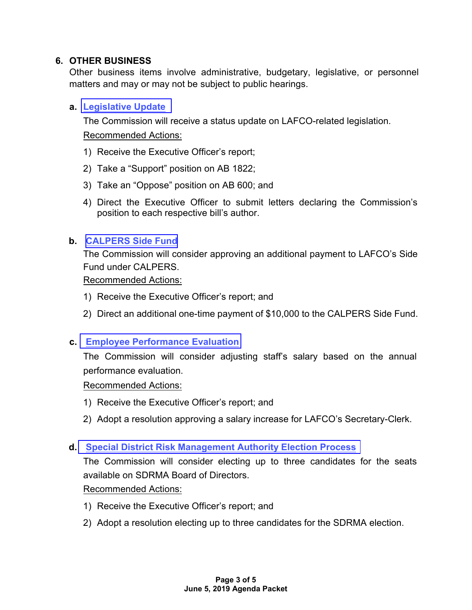# **6. OTHER BUSINESS**

Other business items involve administrative, budgetary, legislative, or personnel matters and may or may not be subject to public hearings.

# **a. [Legislative Update](https://www.santacruzlafco.org/wp-content/uploads/2019/05/6a.0-Leg-Update-Staff-Report-WEB.pdf)**

The Commission will receive a status update on LAFCO-related legislation. Recommended Actions:

- 1) Receive the Executive Officer's report;
- 2) Take a "Support" position on AB 1822;
- 3) Take an "Oppose" position on AB 600; and
- 4) Direct the Executive Officer to submit letters declaring the Commission's position to each respective bill's author.

# **b. [CALPERS Side](https://www.santacruzlafco.org/wp-content/uploads/2019/05/6b.0-Pension-Payment-Staff-Report-WEB-rev.pdf) Fund**

The Commission will consider approving an additional payment to LAFCO's Side Fund under CALPERS.

Recommended Actions:

- 1) Receive the Executive Officer's report; and
- 2) Direct an additional one-time payment of \$10,000 to the CALPERS Side Fund.

## **c. [Employee Performance Evaluation](https://www.santacruzlafco.org/wp-content/uploads/2019/05/6c.0-Salary-Increase-Staff-WEB-FINAL.pdf)**

The Commission will consider adjusting staff's salary based on the annual performance evaluation.

## Recommended Actions:

- 1) Receive the Executive Officer's report; and
- 2) Adopt a resolution approving a salary increase for LAFCO's Secretary-Clerk.

## **d. [Special District](https://www.santacruzlafco.org/wp-content/uploads/2019/05/6d.0-SDRMA-Staff-Report-WEB.pdf) Risk Management Authority Election Process**

The Commission will consider electing up to three candidates for the seats available on SDRMA Board of Directors.

Recommended Actions:

- 1) Receive the Executive Officer's report; and
- 2) Adopt a resolution electing up to three candidates for the SDRMA election.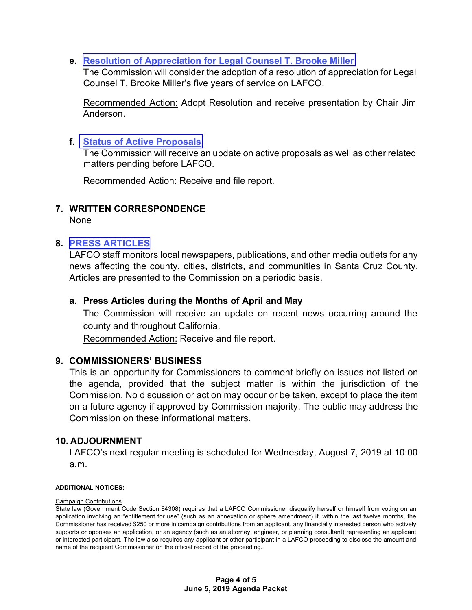**e. Resolution of [Appreciation for](https://www.santacruzlafco.org/wp-content/uploads/2019/06/6e.1-Attachment-Res.-of-Appreciation-Brooke-Miller1-1.pdf) Legal Counsel T. Brooke Miller**

The Commission will consider the adoption of a resolution of appreciation for Legal Counsel T. Brooke Miller's five years of service on LAFCO.

Recommended Action: Adopt Resolution and receive presentation by Chair Jim Anderson.

#### **f. Status of [Active Proposals](https://www.santacruzlafco.org/wp-content/uploads/2019/05/6f.0-Status-of-Proposals-Staff-Report-FINAL.pdf)**

The Commission will receive an update on active proposals as well as other related matters pending before LAFCO.

Recommended Action: Receive and file report.

#### **7. WRITTEN CORRESPONDENCE**

None

#### **8. [PRESS ARTICLES](https://www.santacruzlafco.org/wp-content/uploads/2019/05/8a.0-Press-Articles-Staff-Report-WEB1.pdf)**

LAFCO staff monitors local newspapers, publications, and other media outlets for any news affecting the county, cities, districts, and communities in Santa Cruz County. Articles are presented to the Commission on a periodic basis.

#### **a. Press Articles during the Months of April and May**

The Commission will receive an update on recent news occurring around the county and throughout California.

Recommended Action: Receive and file report.

#### **9. COMMISSIONERS' BUSINESS**

This is an opportunity for Commissioners to comment briefly on issues not listed on the agenda, provided that the subject matter is within the jurisdiction of the Commission. No discussion or action may occur or be taken, except to place the item on a future agency if approved by Commission majority. The public may address the Commission on these informational matters.

#### **10. ADJOURNMENT**

LAFCO's next regular meeting is scheduled for Wednesday, August 7, 2019 at 10:00 a.m.

#### **ADDITIONAL NOTICES:**

#### Campaign Contributions

State law (Government Code Section 84308) requires that a LAFCO Commissioner disqualify herself or himself from voting on an application involving an "entitlement for use" (such as an annexation or sphere amendment) if, within the last twelve months, the Commissioner has received \$250 or more in campaign contributions from an applicant, any financially interested person who actively supports or opposes an application, or an agency (such as an attorney, engineer, or planning consultant) representing an applicant or interested participant. The law also requires any applicant or other participant in a LAFCO proceeding to disclose the amount and name of the recipient Commissioner on the official record of the proceeding.